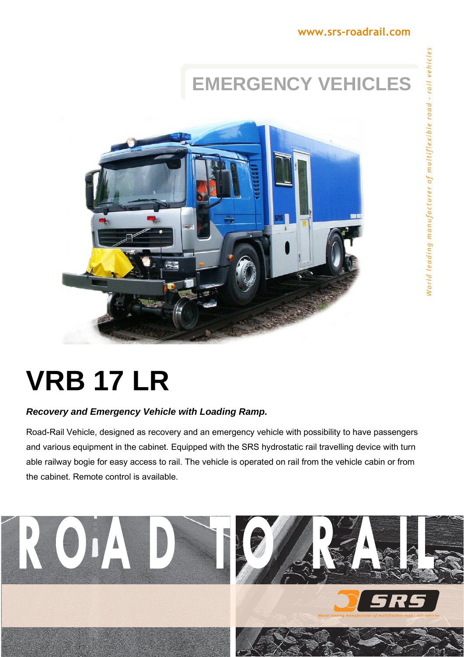### **EMERGENCY VEHICLES**



# **VRB 17 LR**

### *Recovery and Emergency Vehicle with Loading Ramp.*

Road-Rail Vehicle, designed as recovery and an emergency vehicle with possibility to have passengers and various equipment in the cabinet. Equipped with the SRS hydrostatic rail travelling device with turn able railway bogie for easy access to rail. The vehicle is operated on rail from the vehicle cabin or from the cabinet. Remote control is available.